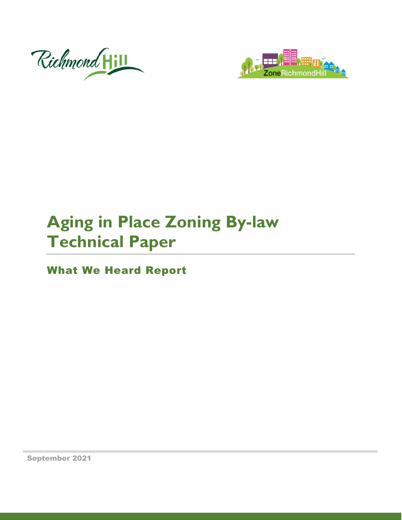



# **Aging in Place Zoning By-law Technical Paper**

What We Heard Report

September 2021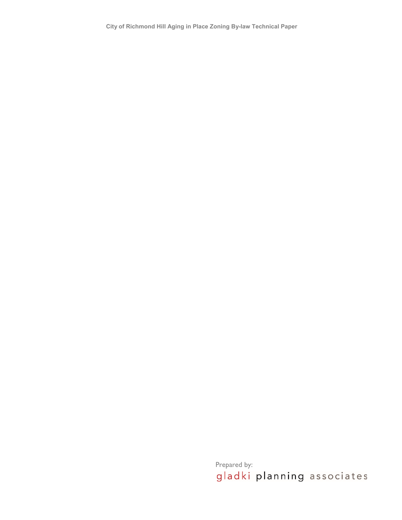**City of Richmond Hill Aging in Place Zoning By-law Technical Paper** 

Prepared by:<br>gladki planning associates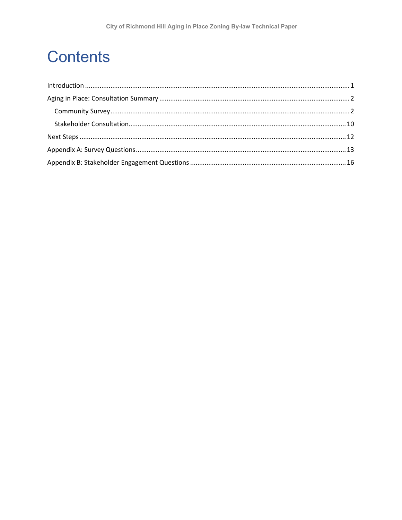## **Contents**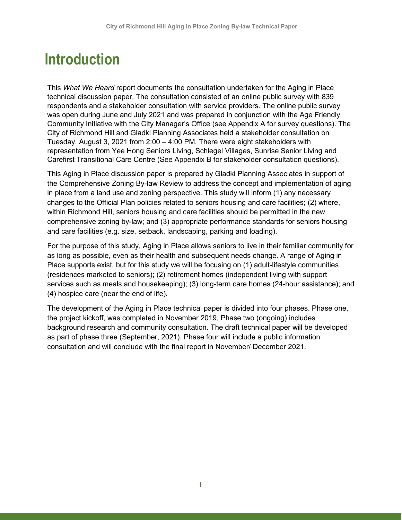## <span id="page-3-0"></span>**Introduction**

 Tuesday, August 3, 2021 from 2:00 – 4:00 PM. There were eight stakeholders with This *What We Heard* report documents the consultation undertaken for the Aging in Place technical discussion paper. The consultation consisted of an online public survey with 839 respondents and a stakeholder consultation with service providers. The online public survey was open during June and July 2021 and was prepared in conjunction with the Age Friendly Community Initiative with the City Manager's Office (see Appendix A for survey questions). The City of Richmond Hill and Gladki Planning Associates held a stakeholder consultation on representation from Yee Hong Seniors Living, Schlegel Villages, Sunrise Senior Living and Carefirst Transitional Care Centre (See Appendix B for stakeholder consultation questions).

 in place from a land use and zoning perspective. This study will inform (1) any necessary and care facilities (e.g. size, setback, landscaping, parking and loading). This Aging in Place discussion paper is prepared by Gladki Planning Associates in support of the Comprehensive Zoning By-law Review to address the concept and implementation of aging changes to the Official Plan policies related to seniors housing and care facilities; (2) where, within Richmond Hill, seniors housing and care facilities should be permitted in the new comprehensive zoning by-law; and (3) appropriate performance standards for seniors housing

 Place supports exist, but for this study we will be focusing on (1) adult-lifestyle communities services such as meals and housekeeping); (3) long-term care homes (24-hour assistance); and For the purpose of this study, Aging in Place allows seniors to live in their familiar community for as long as possible, even as their health and subsequent needs change. A range of Aging in (residences marketed to seniors); (2) retirement homes (independent living with support (4) hospice care (near the end of life).

 as part of phase three (September, 2021). Phase four will include a public information consultation and will conclude with the final report in November/ December 2021. The development of the Aging in Place technical paper is divided into four phases. Phase one, the project kickoff, was completed in November 2019, Phase two (ongoing) includes background research and community consultation. The draft technical paper will be developed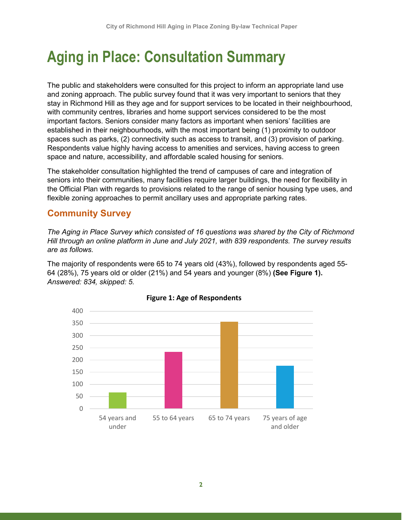## <span id="page-4-0"></span> **Aging in Place: Consultation Summary**

 and zoning approach. The public survey found that it was very important to seniors that they important factors. Seniors consider many factors as important when seniors' facilities are Respondents value highly having access to amenities and services, having access to green The public and stakeholders were consulted for this project to inform an appropriate land use stay in Richmond Hill as they age and for support services to be located in their neighbourhood, with community centres, libraries and home support services considered to be the most established in their neighbourhoods, with the most important being (1) proximity to outdoor spaces such as parks, (2) connectivity such as access to transit, and (3) provision of parking. space and nature, accessibility, and affordable scaled housing for seniors.

 seniors into their communities, many facilities require larger buildings, the need for flexibility in The stakeholder consultation highlighted the trend of campuses of care and integration of the Official Plan with regards to provisions related to the range of senior housing type uses, and flexible zoning approaches to permit ancillary uses and appropriate parking rates.

### <span id="page-4-1"></span>**Community Survey**

 *Hill through an online platform in June and July 2021, with 839 respondents. The survey results The Aging in Place Survey which consisted of 16 questions was shared by the City of Richmond are as follows.* 

 The majority of respondents were 65 to 74 years old (43%), followed by respondents aged 55- 64 (28%), 75 years old or older (21%) and 54 years and younger (8%) **(See Figure 1).**  *Answered: 834, skipped: 5.* 



#### **Figure 1: Age of Respondents**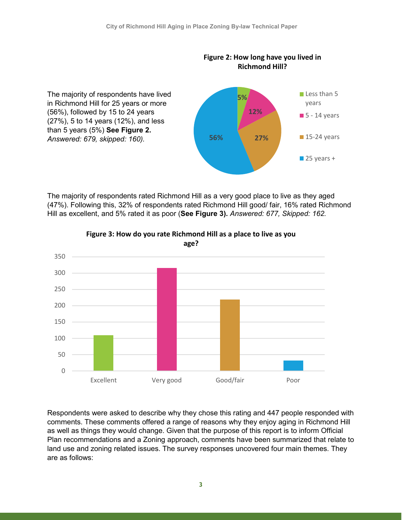

 (47%). Following this, 32% of respondents rated Richmond Hill good/ fair, 16% rated Richmond The majority of respondents rated Richmond Hill as a very good place to live as they aged Hill as excellent, and 5% rated it as poor (**See Figure 3).** *Answered: 677, Skipped: 162.* 





 as well as things they would change. Given that the purpose of this report is to inform Official Plan recommendations and a Zoning approach, comments have been summarized that relate to Respondents were asked to describe why they chose this rating and 447 people responded with comments. These comments offered a range of reasons why they enjoy aging in Richmond Hill land use and zoning related issues. The survey responses uncovered four main themes. They are as follows: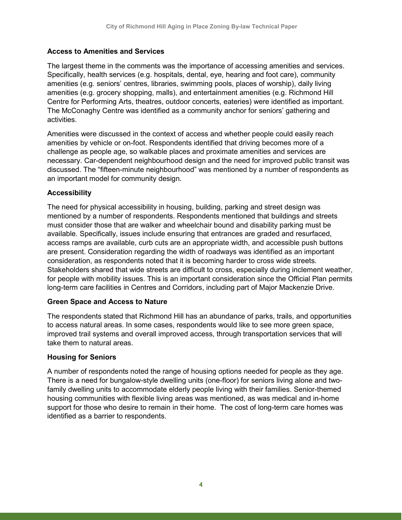#### **Access to Amenities and Services**

 The McConaghy Centre was identified as a community anchor for seniors' gathering and The largest theme in the comments was the importance of accessing amenities and services. Specifically, health services (e.g. hospitals, dental, eye, hearing and foot care), community amenities (e.g. seniors' centres, libraries, swimming pools, places of worship), daily living amenities (e.g. grocery shopping, malls), and entertainment amenities (e.g. Richmond Hill Centre for Performing Arts, theatres, outdoor concerts, eateries) were identified as important. activities.

 an important model for community design. Amenities were discussed in the context of access and whether people could easily reach amenities by vehicle or on-foot. Respondents identified that driving becomes more of a challenge as people age, so walkable places and proximate amenities and services are necessary. Car-dependent neighbourhood design and the need for improved public transit was discussed. The "fifteen-minute neighbourhood" was mentioned by a number of respondents as

#### **Accessibility**

 The need for physical accessibility in housing, building, parking and street design was mentioned by a number of respondents. Respondents mentioned that buildings and streets consideration, as respondents noted that it is becoming harder to cross wide streets. must consider those that are walker and wheelchair bound and disability parking must be available. Specifically, issues include ensuring that entrances are graded and resurfaced, access ramps are available, curb cuts are an appropriate width, and accessible push buttons are present. Consideration regarding the width of roadways was identified as an important Stakeholders shared that wide streets are difficult to cross, especially during inclement weather, for people with mobility issues. This is an important consideration since the Official Plan permits long-term care facilities in Centres and Corridors, including part of Major Mackenzie Drive.

#### **Green Space and Access to Nature**

 improved trail systems and overall improved access, through transportation services that will take them to natural areas. The respondents stated that Richmond Hill has an abundance of parks, trails, and opportunities to access natural areas. In some cases, respondents would like to see more green space,

#### **Housing for Seniors**

 A number of respondents noted the range of housing options needed for people as they age. There is a need for bungalow-style dwelling units (one-floor) for seniors living alone and two- family dwelling units to accommodate elderly people living with their families. Senior-themed support for those who desire to remain in their home. The cost of long-term care homes was identified as a barrier to respondents. housing communities with flexible living areas was mentioned, as was medical and in-home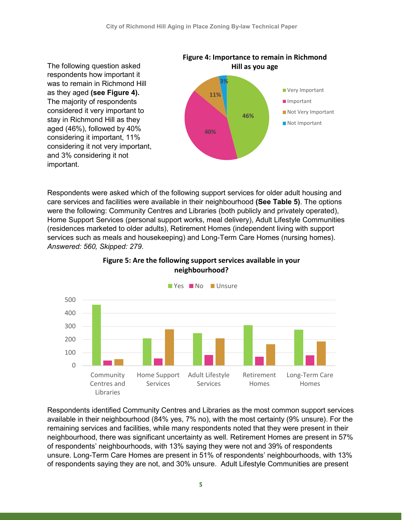

 Respondents were asked which of the following support services for older adult housing and care services and facilities were available in their neighbourhood **(See Table 5)**. The options services such as meals and housekeeping) and Long-Term Care Homes (nursing homes). were the following: Community Centres and Libraries (both publicly and privately operated), Home Support Services (personal support works, meal delivery), Adult Lifestyle Communities (residences marketed to older adults), Retirement Homes (independent living with support *Answered: 560, Skipped: 279*.



#### **Figure 5: Are the following support services available in your neighbourhood?**

 neighbourhood, there was significant uncertainty as well. Retirement Homes are present in 57% Respondents identified Community Centres and Libraries as the most common support services available in their neighbourhood (84% yes, 7% no), with the most certainty (9% unsure). For the remaining services and facilities, while many respondents noted that they were present in their of respondents' neighbourhoods, with 13% saying they were not and 39% of respondents unsure. Long-Term Care Homes are present in 51% of respondents' neighbourhoods, with 13% of respondents saying they are not, and 30% unsure. Adult Lifestyle Communities are present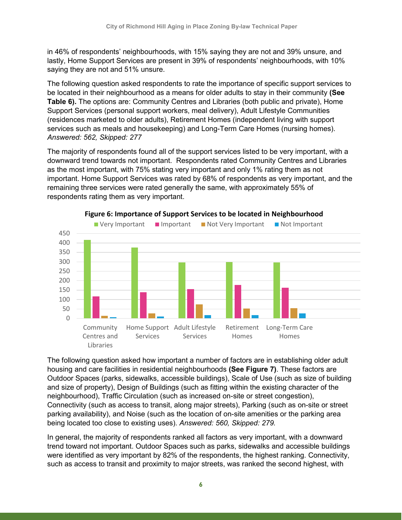in 46% of respondents' neighbourhoods, with 15% saying they are not and 39% unsure, and lastly, Home Support Services are present in 39% of respondents' neighbourhoods, with 10% saying they are not and 51% unsure.

 The following question asked respondents to rate the importance of specific support services to services such as meals and housekeeping) and Long-Term Care Homes (nursing homes). be located in their neighbourhood as a means for older adults to stay in their community **(See Table 6).** The options are: Community Centres and Libraries (both public and private), Home Support Services (personal support workers, meal delivery), Adult Lifestyle Communities (residences marketed to older adults), Retirement Homes (independent living with support *Answered: 562, Skipped: 277* 

 The majority of respondents found all of the support services listed to be very important, with a downward trend towards not important. Respondents rated Community Centres and Libraries as the most important, with 75% stating very important and only 1% rating them as not important. Home Support Services was rated by 68% of respondents as very important, and the remaining three services were rated generally the same, with approximately 55% of respondents rating them as very important.





 Outdoor Spaces (parks, sidewalks, accessible buildings), Scale of Use (such as size of building neighbourhood), Traffic Circulation (such as increased on-site or street congestion), The following question asked how important a number of factors are in establishing older adult housing and care facilities in residential neighbourhoods **(See Figure 7)**. These factors are and size of property), Design of Buildings (such as fitting within the existing character of the Connectivity (such as access to transit, along major streets), Parking (such as on-site or street parking availability), and Noise (such as the location of on-site amenities or the parking area being located too close to existing uses). *Answered: 560, Skipped: 279.* 

 In general, the majority of respondents ranked all factors as very important, with a downward trend toward not important. Outdoor Spaces such as parks, sidewalks and accessible buildings were identified as very important by 82% of the respondents, the highest ranking. Connectivity, such as access to transit and proximity to major streets, was ranked the second highest, with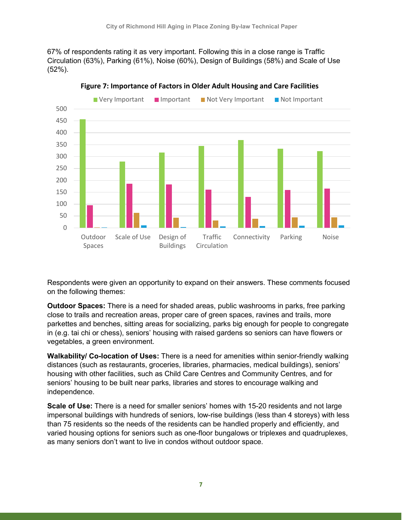67% of respondents rating it as very important. Following this in a close range is Traffic  $(52\%)$ . Circulation (63%), Parking (61%), Noise (60%), Design of Buildings (58%) and Scale of Use



**Figure 7: Importance of Factors in Older Adult Housing and Care Facilities** 

Respondents were given an opportunity to expand on their answers. These comments focused on the following themes:

 in (e.g. tai chi or chess), seniors' housing with raised gardens so seniors can have flowers or **Outdoor Spaces:** There is a need for shaded areas, public washrooms in parks, free parking close to trails and recreation areas, proper care of green spaces, ravines and trails, more parkettes and benches, sitting areas for socializing, parks big enough for people to congregate vegetables, a green environment.

 **Walkability/ Co-location of Uses:** There is a need for amenities within senior-friendly walking distances (such as restaurants, groceries, libraries, pharmacies, medical buildings), seniors' housing with other facilities, such as Child Care Centres and Community Centres, and for seniors' housing to be built near parks, libraries and stores to encourage walking and independence.

 varied housing options for seniors such as one-floor bungalows or triplexes and quadruplexes, as many seniors don't want to live in condos without outdoor space. **Scale of Use:** There is a need for smaller seniors' homes with 15-20 residents and not large impersonal buildings with hundreds of seniors, low-rise buildings (less than 4 storeys) with less than 75 residents so the needs of the residents can be handled properly and efficiently, and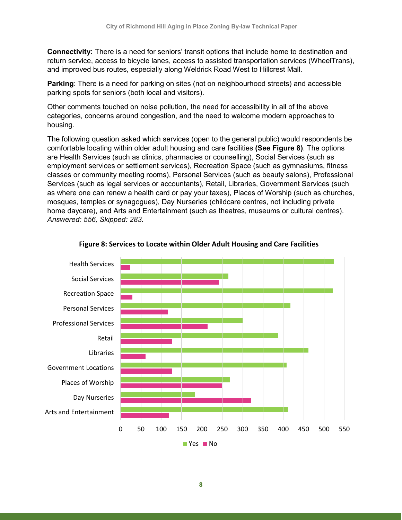**Connectivity:** There is a need for seniors' transit options that include home to destination and return service, access to bicycle lanes, access to assisted transportation services (WheelTrans), and improved bus routes, especially along Weldrick Road West to Hillcrest Mall.

 **Parking**: There is a need for parking on sites (not on neighbourhood streets) and accessible parking spots for seniors (both local and visitors).

Other comments touched on noise pollution, the need for accessibility in all of the above categories, concerns around congestion, and the need to welcome modern approaches to housing.

 comfortable locating within older adult housing and care facilities **(See Figure 8)**. The options employment services or settlement services), Recreation Space (such as gymnasiums, fitness as where one can renew a health card or pay your taxes), Places of Worship (such as churches, mosques, temples or synagogues), Day Nurseries (childcare centres, not including private home daycare), and Arts and Entertainment (such as theatres, museums or cultural centres). The following question asked which services (open to the general public) would respondents be are Health Services (such as clinics, pharmacies or counselling), Social Services (such as classes or community meeting rooms), Personal Services (such as beauty salons), Professional Services (such as legal services or accountants), Retail, Libraries, Government Services (such *Answered: 556, Skipped: 283.* 



#### **Figure 8: Services to Locate within Older Adult Housing and Care Facilities**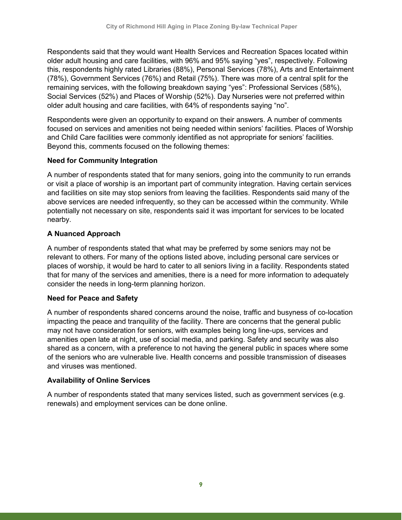older adult housing and care facilities, with 96% and 95% saying "yes", respectively. Following (78%), Government Services (76%) and Retail (75%). There was more of a central split for the older adult housing and care facilities, with 64% of respondents saying "no". Respondents said that they would want Health Services and Recreation Spaces located within this, respondents highly rated Libraries (88%), Personal Services (78%), Arts and Entertainment remaining services, with the following breakdown saying "yes": Professional Services (58%), Social Services (52%) and Places of Worship (52%). Day Nurseries were not preferred within

 and Child Care facilities were commonly identified as not appropriate for seniors' facilities. Beyond this, comments focused on the following themes: Respondents were given an opportunity to expand on their answers. A number of comments focused on services and amenities not being needed within seniors' facilities. Places of Worship

#### **Need for Community Integration**

 and facilities on site may stop seniors from leaving the facilities. Respondents said many of the A number of respondents stated that for many seniors, going into the community to run errands or visit a place of worship is an important part of community integration. Having certain services above services are needed infrequently, so they can be accessed within the community. While potentially not necessary on site, respondents said it was important for services to be located nearby.

#### **A Nuanced Approach**

 A number of respondents stated that what may be preferred by some seniors may not be places of worship, it would be hard to cater to all seniors living in a facility. Respondents stated consider the needs in long-term planning horizon. relevant to others. For many of the options listed above, including personal care services or that for many of the services and amenities, there is a need for more information to adequately

#### **Need for Peace and Safety**

A number of respondents shared concerns around the noise, traffic and busyness of co-location impacting the peace and tranquility of the facility. There are concerns that the general public may not have consideration for seniors, with examples being long line-ups, services and amenities open late at night, use of social media, and parking. Safety and security was also shared as a concern, with a preference to not having the general public in spaces where some of the seniors who are vulnerable live. Health concerns and possible transmission of diseases and viruses was mentioned.

#### **Availability of Online Services**

 A number of respondents stated that many services listed, such as government services (e.g. renewals) and employment services can be done online.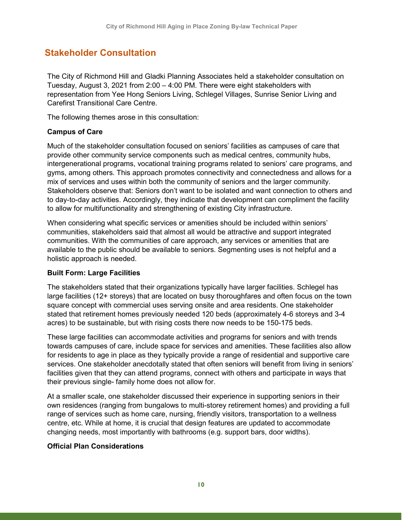### <span id="page-12-0"></span>**Stakeholder Consultation**

 Tuesday, August 3, 2021 from 2:00 – 4:00 PM. There were eight stakeholders with The City of Richmond Hill and Gladki Planning Associates held a stakeholder consultation on representation from Yee Hong Seniors Living, Schlegel Villages, Sunrise Senior Living and Carefirst Transitional Care Centre.

The following themes arose in this consultation:

#### **Campus of Care**

 provide other community service components such as medical centres, community hubs, to day-to-day activities. Accordingly, they indicate that development can compliment the facility Much of the stakeholder consultation focused on seniors' facilities as campuses of care that intergenerational programs, vocational training programs related to seniors' care programs, and gyms, among others. This approach promotes connectivity and connectedness and allows for a mix of services and uses within both the community of seniors and the larger community. Stakeholders observe that: Seniors don't want to be isolated and want connection to others and to allow for multifunctionality and strengthening of existing City infrastructure.

 holistic approach is needed. When considering what specific services or amenities should be included within seniors' communities, stakeholders said that almost all would be attractive and support integrated communities. With the communities of care approach, any services or amenities that are available to the public should be available to seniors. Segmenting uses is not helpful and a

#### **Built Form: Large Facilities**

 large facilities (12+ storeys) that are located on busy thoroughfares and often focus on the town The stakeholders stated that their organizations typically have larger facilities. Schlegel has square concept with commercial uses serving onsite and area residents. One stakeholder stated that retirement homes previously needed 120 beds (approximately 4-6 storeys and 3-4 acres) to be sustainable, but with rising costs there now needs to be 150-175 beds.

 These large facilities can accommodate activities and programs for seniors and with trends towards campuses of care, include space for services and amenities. These facilities also allow for residents to age in place as they typically provide a range of residential and supportive care services. One stakeholder anecdotally stated that often seniors will benefit from living in seniors' facilities given that they can attend programs, connect with others and participate in ways that their previous single- family home does not allow for.

 own residences (ranging from bungalows to multi-storey retirement homes) and providing a full range of services such as home care, nursing, friendly visitors, transportation to a wellness centre, etc. While at home, it is crucial that design features are updated to accommodate At a smaller scale, one stakeholder discussed their experience in supporting seniors in their changing needs, most importantly with bathrooms (e.g. support bars, door widths).

#### **Official Plan Considerations**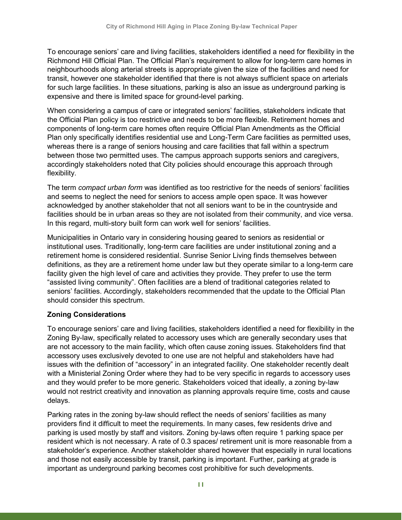To encourage seniors' care and living facilities, stakeholders identified a need for flexibility in the neighbourhoods along arterial streets is appropriate given the size of the facilities and need for expensive and there is limited space for ground-level parking. Richmond Hill Official Plan. The Official Plan's requirement to allow for long-term care homes in transit, however one stakeholder identified that there is not always sufficient space on arterials for such large facilities. In these situations, parking is also an issue as underground parking is

 When considering a campus of care or integrated seniors' facilities, stakeholders indicate that components of long-term care homes often require Official Plan Amendments as the Official the Official Plan policy is too restrictive and needs to be more flexible. Retirement homes and Plan only specifically identifies residential use and Long-Term Care facilities as permitted uses, whereas there is a range of seniors housing and care facilities that fall within a spectrum between those two permitted uses. The campus approach supports seniors and caregivers, accordingly stakeholders noted that City policies should encourage this approach through flexibility.

 The term *compact urban form* was identified as too restrictive for the needs of seniors' facilities and seems to neglect the need for seniors to access ample open space. It was however In this regard, multi-story built form can work well for seniors' facilities. acknowledged by another stakeholder that not all seniors want to be in the countryside and facilities should be in urban areas so they are not isolated from their community, and vice versa.

 retirement home is considered residential. Sunrise Senior Living finds themselves between "assisted living community". Often facilities are a blend of traditional categories related to Municipalities in Ontario vary in considering housing geared to seniors as residential or institutional uses. Traditionally, long-term care facilities are under institutional zoning and a definitions, as they are a retirement home under law but they operate similar to a long-term care facility given the high level of care and activities they provide. They prefer to use the term seniors' facilities. Accordingly, stakeholders recommended that the update to the Official Plan should consider this spectrum.

#### **Zoning Considerations**

 To encourage seniors' care and living facilities, stakeholders identified a need for flexibility in the Zoning By-law, specifically related to accessory uses which are generally secondary uses that are not accessory to the main facility, which often cause zoning issues. Stakeholders find that accessory uses exclusively devoted to one use are not helpful and stakeholders have had issues with the definition of "accessory" in an integrated facility. One stakeholder recently dealt with a Ministerial Zoning Order where they had to be very specific in regards to accessory uses and they would prefer to be more generic. Stakeholders voiced that ideally, a zoning by-law would not restrict creativity and innovation as planning approvals require time, costs and cause delays.

 Parking rates in the zoning by-law should reflect the needs of seniors' facilities as many providers find it difficult to meet the requirements. In many cases, few residents drive and parking is used mostly by staff and visitors. Zoning by-laws often require 1 parking space per resident which is not necessary. A rate of 0.3 spaces/ retirement unit is more reasonable from a and those not easily accessible by transit, parking is important. Further, parking at grade is stakeholder's experience. Another stakeholder shared however that especially in rural locations important as underground parking becomes cost prohibitive for such developments.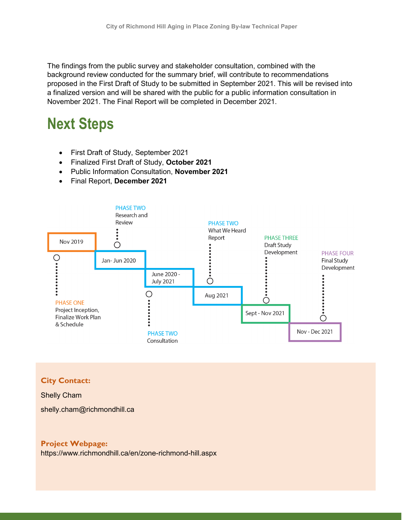The findings from the public survey and stakeholder consultation, combined with the background review conducted for the summary brief, will contribute to recommendations proposed in the First Draft of Study to be submitted in September 2021. This will be revised into a finalized version and will be shared with the public for a public information consultation in November 2021. The Final Report will be completed in December 2021.

### <span id="page-14-0"></span>**Next Steps**

- First Draft of Study, September 2021
- Finalized First Draft of Study, **October 2021**
- Public Information Consultation, **November 2021**
- Final Report, **December 2021**



#### **City Contact:**

#### Shelly Cham

[shelly.cham@richmondhill.ca](mailto:shelly.cham@richmondhill.ca) 

#### **Project Webpage:**

<https://www.richmondhill.ca/en/zone-richmond-hill.aspx>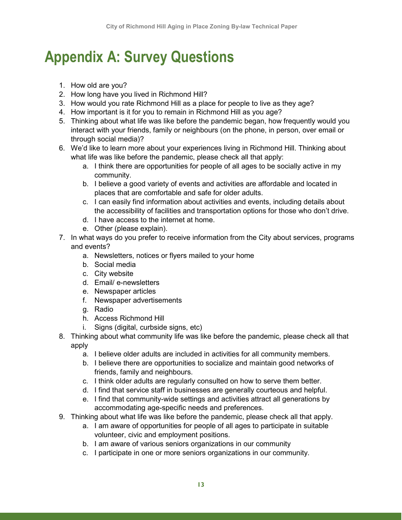## <span id="page-15-0"></span>**Appendix A: Survey Questions**

- 1. How old are you?
- 2. How long have you lived in Richmond Hill?
- 3. How would you rate Richmond Hill as a place for people to live as they age?
- 4. How important is it for you to remain in Richmond Hill as you age?
- interact with your friends, family or neighbours (on the phone, in person, over email or 5. Thinking about what life was like before the pandemic began, how frequently would you through social media)?
- 6. We'd like to learn more about your experiences living in Richmond Hill. Thinking about what life was like before the pandemic, please check all that apply:
	- a. I think there are opportunities for people of all ages to be socially active in my community.
	- b. I believe a good variety of events and activities are affordable and located in places that are comfortable and safe for older adults.
	- c. I can easily find information about activities and events, including details about the accessibility of facilities and transportation options for those who don't drive.
	- d. I have access to the internet at home.
	- e. Other (please explain).
- 7. In what ways do you prefer to receive information from the City about services, programs and events?
	- a. Newsletters, notices or flyers mailed to your home
	- b. Social media
	- c. City website
	- d. Email/ e-newsletters
	- e. Newspaper articles
	- f. Newspaper advertisements
	- g. Radio
	- h. Access Richmond Hill
	- i. Signs (digital, curbside signs, etc)
- 8. Thinking about what community life was like before the pandemic, please check all that apply
	- a. I believe older adults are included in activities for all community members.
	- b. I believe there are opportunities to socialize and maintain good networks of friends, family and neighbours.
	- c. I think older adults are regularly consulted on how to serve them better.
	- d. I find that service staff in businesses are generally courteous and helpful.
	- e. I find that community-wide settings and activities attract all generations by accommodating age-specific needs and preferences.
- 9. Thinking about what life was like before the pandemic, please check all that apply.
	- a. I am aware of opportunities for people of all ages to participate in suitable volunteer, civic and employment positions.
	- b. I am aware of various seniors organizations in our community
	- c. I participate in one or more seniors organizations in our community.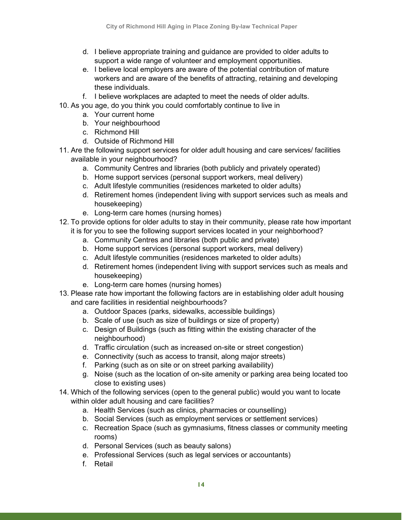- d. I believe appropriate training and guidance are provided to older adults to support a wide range of volunteer and employment opportunities.
- e. I believe local employers are aware of the potential contribution of mature workers and are aware of the benefits of attracting, retaining and developing these individuals.
- f. I believe workplaces are adapted to meet the needs of older adults.
- 10. As you age, do you think you could comfortably continue to live in
	- a. Your current home
	- b. Your neighbourhood
	- c. Richmond Hill
	- d. Outside of Richmond Hill
- 11. Are the following support services for older adult housing and care services/ facilities available in your neighbourhood?
	- a. Community Centres and libraries (both publicly and privately operated)
	- b. Home support services (personal support workers, meal delivery)
	- c. Adult lifestyle communities (residences marketed to older adults)
	- d. Retirement homes (independent living with support services such as meals and housekeeping)
	- e. Long-term care homes (nursing homes)
- it is for you to see the following support services located in your neighborhood? 12. To provide options for older adults to stay in their community, please rate how important
	- a. Community Centres and libraries (both public and private)
	- b. Home support services (personal support workers, meal delivery)
	- c. Adult lifestyle communities (residences marketed to older adults)
	- d. Retirement homes (independent living with support services such as meals and housekeeping)
	- e. Long-term care homes (nursing homes)
- 13. Please rate how important the following factors are in establishing older adult housing and care facilities in residential neighbourhoods?
	- a. Outdoor Spaces (parks, sidewalks, accessible buildings)
	- b. Scale of use (such as size of buildings or size of property)
	- c. Design of Buildings (such as fitting within the existing character of the neighbourhood)
	- d. Traffic circulation (such as increased on-site or street congestion)
	- e. Connectivity (such as access to transit, along major streets)
	- f. Parking (such as on site or on street parking availability)
	- g. Noise (such as the location of on-site amenity or parking area being located too close to existing uses)
- 14. Which of the following services (open to the general public) would you want to locate within older adult housing and care facilities?
	- a. Health Services (such as clinics, pharmacies or counselling)
	- b. Social Services (such as employment services or settlement services)
	- c. Recreation Space (such as gymnasiums, fitness classes or community meeting rooms)
	- d. Personal Services (such as beauty salons)
	- e. Professional Services (such as legal services or accountants)
	- f. Retail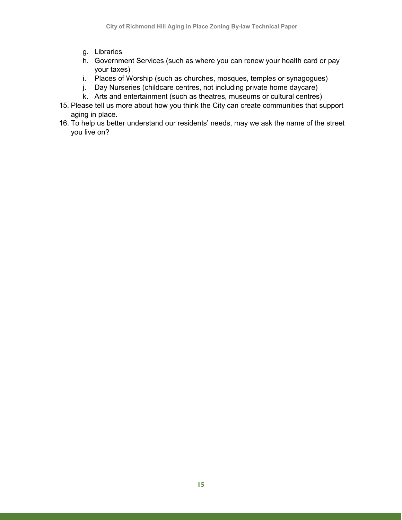- g. Libraries
- h. Government Services (such as where you can renew your health card or pay your taxes)
- i. Places of Worship (such as churches, mosques, temples or synagogues)
- j. Day Nurseries (childcare centres, not including private home daycare)
- k. Arts and entertainment (such as theatres, museums or cultural centres)
- 15. Please tell us more about how you think the City can create communities that support aging in place.
- 16. To help us better understand our residents' needs, may we ask the name of the street you live on?